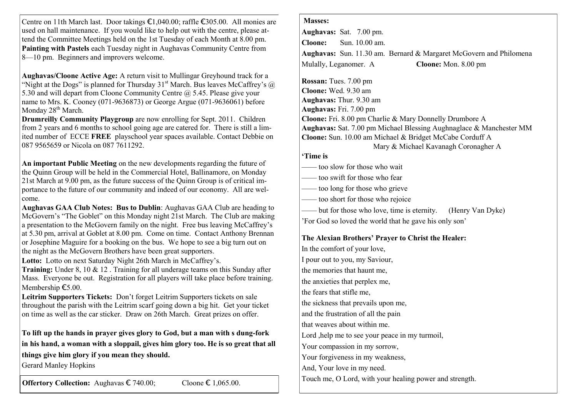| Centre on 11th March last. Door takings $\epsilon$ 1,040.00; raffle $\epsilon$ 305.00. All monies are<br>used on hall maintenance. If you would like to help out with the centre, please at-<br>tend the Committee Meetings held on the 1st Tuesday of each Month at 8.00 pm.<br>Painting with Pastels each Tuesday night in Aughavas Community Centre from<br>8—10 pm. Beginners and improvers welcome.<br>Aughavas/Cloone Active Age: A return visit to Mullingar Greyhound track for a | <b>Masses:</b><br>Aughavas: Sat. 7.00 pm.                                                                                       |
|-------------------------------------------------------------------------------------------------------------------------------------------------------------------------------------------------------------------------------------------------------------------------------------------------------------------------------------------------------------------------------------------------------------------------------------------------------------------------------------------|---------------------------------------------------------------------------------------------------------------------------------|
|                                                                                                                                                                                                                                                                                                                                                                                                                                                                                           | Sun. 10.00 am.<br><b>Cloone:</b>                                                                                                |
|                                                                                                                                                                                                                                                                                                                                                                                                                                                                                           | Aughavas: Sun. 11.30 am. Bernard & Margaret McGovern and Philomena                                                              |
|                                                                                                                                                                                                                                                                                                                                                                                                                                                                                           | Cloone: Mon. 8.00 pm<br>Mulally, Leganomer. A                                                                                   |
|                                                                                                                                                                                                                                                                                                                                                                                                                                                                                           |                                                                                                                                 |
| "Night at the Dogs" is planned for Thursday 31 <sup>st</sup> March. Bus leaves McCaffrey's $\omega$                                                                                                                                                                                                                                                                                                                                                                                       | Rossan: Tues. 7.00 pm                                                                                                           |
| 5.30 and will depart from Cloone Community Centre @ 5.45. Please give your                                                                                                                                                                                                                                                                                                                                                                                                                | Cloone: Wed. 9.30 am                                                                                                            |
| name to Mrs. K. Cooney (071-9636873) or George Argue (071-9636061) before                                                                                                                                                                                                                                                                                                                                                                                                                 | Aughavas: Thur. 9.30 am                                                                                                         |
| Monday 28 <sup>th</sup> March.                                                                                                                                                                                                                                                                                                                                                                                                                                                            | Aughavas: Fri. 7.00 pm                                                                                                          |
| Drumreilly Community Playgroup are now enrolling for Sept. 2011. Children                                                                                                                                                                                                                                                                                                                                                                                                                 | Cloone: Fri. 8.00 pm Charlie & Mary Donnelly Drumbore A                                                                         |
| from 2 years and 6 months to school going age are catered for. There is still a lim-<br>ited number of ECCE FREE playschool year spaces available. Contact Debbie on                                                                                                                                                                                                                                                                                                                      | Aughavas: Sat. 7.00 pm Michael Blessing Aughnaglace & Manchester MM<br>Cloone: Sun. 10.00 am Michael & Bridget McCabe Corduff A |
| 087 9565659 or Nicola on 087 7611292.                                                                                                                                                                                                                                                                                                                                                                                                                                                     | Mary & Michael Kavanagh Coronagher A                                                                                            |
|                                                                                                                                                                                                                                                                                                                                                                                                                                                                                           | 'Time is                                                                                                                        |
| An important Public Meeting on the new developments regarding the future of<br>the Quinn Group will be held in the Commercial Hotel, Ballinamore, on Monday<br>21st March at 9.00 pm, as the future success of the Quinn Group is of critical im-<br>portance to the future of our community and indeed of our economy. All are wel-<br>come.                                                                                                                                             | too slow for those who wait                                                                                                     |
|                                                                                                                                                                                                                                                                                                                                                                                                                                                                                           | too swift for those who fear                                                                                                    |
|                                                                                                                                                                                                                                                                                                                                                                                                                                                                                           | too long for those who grieve                                                                                                   |
|                                                                                                                                                                                                                                                                                                                                                                                                                                                                                           | too short for those who rejoice                                                                                                 |
| Aughavas GAA Club Notes: Bus to Dublin: Aughavas GAA Club are heading to                                                                                                                                                                                                                                                                                                                                                                                                                  | but for those who love, time is eternity.<br>(Henry Van Dyke)                                                                   |
| McGovern's "The Goblet" on this Monday night 21st March. The Club are making                                                                                                                                                                                                                                                                                                                                                                                                              | 'For God so loved the world that he gave his only son'                                                                          |
| a presentation to the McGovern family on the night. Free bus leaving McCaffrey's                                                                                                                                                                                                                                                                                                                                                                                                          |                                                                                                                                 |
| at 5.30 pm, arrival at Goblet at 8.00 pm. Come on time. Contact Anthony Brennan<br>or Josephine Maguire for a booking on the bus. We hope to see a big turn out on                                                                                                                                                                                                                                                                                                                        | The Alexian Brothers' Prayer to Christ the Healer:                                                                              |
| the night as the McGovern Brothers have been great supporters.                                                                                                                                                                                                                                                                                                                                                                                                                            | In the comfort of your love,                                                                                                    |
| Lotto: Lotto on next Saturday Night 26th March in McCaffrey's.                                                                                                                                                                                                                                                                                                                                                                                                                            | I pour out to you, my Saviour,                                                                                                  |
| <b>Training:</b> Under 8, 10 $\&$ 12. Training for all underage teams on this Sunday after                                                                                                                                                                                                                                                                                                                                                                                                | the memories that haunt me,                                                                                                     |
| Mass. Everyone be out. Registration for all players will take place before training.                                                                                                                                                                                                                                                                                                                                                                                                      | the anxieties that perplex me,                                                                                                  |
| Membership €5.00.<br>Leitrim Supporters Tickets: Don't forget Leitrim Supporters tickets on sale                                                                                                                                                                                                                                                                                                                                                                                          | the fears that stifle me.                                                                                                       |
| throughout the parish with the Leitrim scarf going down a big hit. Get your ticket                                                                                                                                                                                                                                                                                                                                                                                                        | the sickness that prevails upon me,                                                                                             |
| on time as well as the car sticker. Draw on 26th March. Great prizes on offer.                                                                                                                                                                                                                                                                                                                                                                                                            | and the frustration of all the pain                                                                                             |
|                                                                                                                                                                                                                                                                                                                                                                                                                                                                                           | that weaves about within me.                                                                                                    |
| To lift up the hands in prayer gives glory to God, but a man with s dung-fork                                                                                                                                                                                                                                                                                                                                                                                                             | Lord, help me to see your peace in my turmoil,                                                                                  |
| in his hand, a woman with a sloppail, gives him glory too. He is so great that all                                                                                                                                                                                                                                                                                                                                                                                                        | Your compassion in my sorrow,                                                                                                   |
| things give him glory if you mean they should.                                                                                                                                                                                                                                                                                                                                                                                                                                            | Your forgiveness in my weakness,                                                                                                |
| <b>Gerard Manley Hopkins</b>                                                                                                                                                                                                                                                                                                                                                                                                                                                              | And, Your love in my need.                                                                                                      |
|                                                                                                                                                                                                                                                                                                                                                                                                                                                                                           | Touch me, O Lord, with your healing power and strength.                                                                         |
| Offertory Collection: Aughavas € 740.00;<br>Cloone $\epsilon$ 1,065.00.                                                                                                                                                                                                                                                                                                                                                                                                                   |                                                                                                                                 |